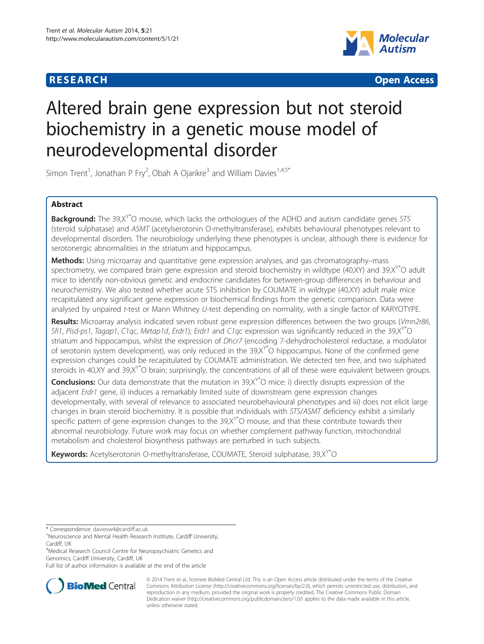## **RESEARCH CHEAR CHEAR CHEAR CHEAR CHEAR CHEAR CHEAR CHEAR CHEAR CHEAR CHEAR CHEAR CHEAR CHEAR CHEAR CHEAR CHEAR**



# Altered brain gene expression but not steroid biochemistry in a genetic mouse model of neurodevelopmental disorder

Simon Trent<sup>1</sup>, Jonathan P Fry<sup>2</sup>, Obah A Ojarikre<sup>3</sup> and William Davies<sup>1,4,5\*</sup>

## Abstract

**Background:** The 39,X<sup>Y\*</sup>O mouse, which lacks the orthologues of the ADHD and autism candidate genes STS (steroid sulphatase) and ASMT (acetylserotonin O-methyltransferase), exhibits behavioural phenotypes relevant to developmental disorders. The neurobiology underlying these phenotypes is unclear, although there is evidence for serotonergic abnormalities in the striatum and hippocampus.

Methods: Using microarray and quantitative gene expression analyses, and gas chromatography–mass spectrometry, we compared brain gene expression and steroid biochemistry in wildtype  $(40,XY)$  and  $39,XY^*$ O adult mice to identify non-obvious genetic and endocrine candidates for between-group differences in behaviour and neurochemistry. We also tested whether acute STS inhibition by COUMATE in wildtype (40,XY) adult male mice recapitulated any significant gene expression or biochemical findings from the genetic comparison. Data were analysed by unpaired t-test or Mann Whitney U-test depending on normality, with a single factor of KARYOTYPE.

Results: Microarray analysis indicated seven robust gene expression differences between the two groups (Vmn2r86, Sfi1, Pisd-ps1, Tagap1, C1qc, Metap1d, Erdr1); Erdr1 and C1qc expression was significantly reduced in the 39,X<sup>Y\*</sup>O striatum and hippocampus, whilst the expression of *Dhcr7* (encoding 7-dehydrocholesterol reductase, a modulator of serotonin system development), was only reduced in the  $39, X^{\prime\ast}$ O hippocampus. None of the confirmed gene expression changes could be recapitulated by COUMATE administration. We detected ten free, and two sulphated steroids in 40,XY and 39,X<sup>Y\*</sup>O brain; surprisingly, the concentrations of all of these were equivalent between groups.

**Conclusions:** Our data demonstrate that the mutation in 39, $X^{\prime*}$ O mice: i) directly disrupts expression of the adjacent Erdr1 gene, ii) induces a remarkably limited suite of downstream gene expression changes developmentally, with several of relevance to associated neurobehavioural phenotypes and iii) does not elicit large changes in brain steroid biochemistry. It is possible that individuals with STS/ASMT deficiency exhibit a similarly specific pattern of gene expression changes to the  $39,$ X<sup>Y\*</sup>O mouse, and that these contribute towards their abnormal neurobiology. Future work may focus on whether complement pathway function, mitochondrial metabolism and cholesterol biosynthesis pathways are perturbed in such subjects.

Keywords: Acetylserotonin O-methyltransferase, COUMATE, Steroid sulphatase, 39,X<sup>Y\*</sup>O

4 Medical Research Council Centre for Neuropsychiatric Genetics and Genomics, Cardiff University, Cardiff, UK

Full list of author information is available at the end of the article



© 2014 Trent et al.; licensee BioMed Central Ltd. This is an Open Access article distributed under the terms of the Creative Commons Attribution License [\(http://creativecommons.org/licenses/by/2.0\)](http://creativecommons.org/licenses/by/2.0), which permits unrestricted use, distribution, and reproduction in any medium, provided the original work is properly credited. The Creative Commons Public Domain Dedication waiver [\(http://creativecommons.org/publicdomain/zero/1.0/](http://creativecommons.org/publicdomain/zero/1.0/)) applies to the data made available in this article, unless otherwise stated.

<sup>\*</sup> Correspondence: [daviesw4@cardiff.ac.uk](mailto:daviesw4@cardiff.ac.uk) <sup>1</sup>

<sup>&</sup>lt;sup>1</sup>Neuroscience and Mental Health Research Institute, Cardiff University, Cardiff, UK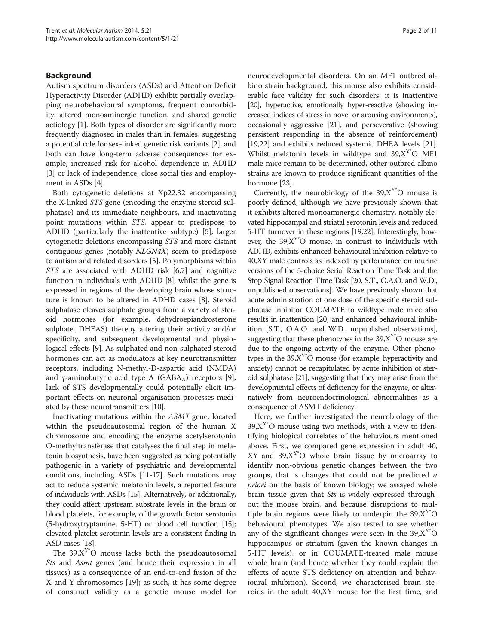## Background

Autism spectrum disorders (ASDs) and Attention Deficit Hyperactivity Disorder (ADHD) exhibit partially overlapping neurobehavioural symptoms, frequent comorbidity, altered monoaminergic function, and shared genetic aetiology [\[1](#page-9-0)]. Both types of disorder are significantly more frequently diagnosed in males than in females, suggesting a potential role for sex-linked genetic risk variants [\[2\]](#page-9-0), and both can have long-term adverse consequences for example, increased risk for alcohol dependence in ADHD [[3\]](#page-9-0) or lack of independence, close social ties and employment in ASDs [\[4\]](#page-9-0).

Both cytogenetic deletions at Xp22.32 encompassing the X-linked STS gene (encoding the enzyme steroid sulphatase) and its immediate neighbours, and inactivating point mutations within STS, appear to predispose to ADHD (particularly the inattentive subtype) [\[5](#page-9-0)]; larger cytogenetic deletions encompassing STS and more distant contiguous genes (notably NLGN4X) seem to predispose to autism and related disorders [\[5](#page-9-0)]. Polymorphisms within STS are associated with ADHD risk [[6,7\]](#page-9-0) and cognitive function in individuals with ADHD [\[8](#page-9-0)], whilst the gene is expressed in regions of the developing brain whose structure is known to be altered in ADHD cases [[8\]](#page-9-0). Steroid sulphatase cleaves sulphate groups from a variety of steroid hormones (for example, dehydroepiandrosterone sulphate, DHEAS) thereby altering their activity and/or specificity, and subsequent developmental and physiological effects [[9\]](#page-9-0). As sulphated and non-sulphated steroid hormones can act as modulators at key neurotransmitter receptors, including N-methyl-D-aspartic acid (NMDA) and γ-aminobutyric acid type A (GABA<sub>A</sub>) receptors [[9](#page-9-0)], lack of STS developmentally could potentially elicit important effects on neuronal organisation processes mediated by these neurotransmitters [[10\]](#page-9-0).

Inactivating mutations within the ASMT gene, located within the pseudoautosomal region of the human X chromosome and encoding the enzyme acetylserotonin O-methyltransferase that catalyses the final step in melatonin biosynthesis, have been suggested as being potentially pathogenic in a variety of psychiatric and developmental conditions, including ASDs [[11](#page-9-0)-[17\]](#page-9-0). Such mutations may act to reduce systemic melatonin levels, a reported feature of individuals with ASDs [\[15\]](#page-9-0). Alternatively, or additionally, they could affect upstream substrate levels in the brain or blood platelets, for example, of the growth factor serotonin (5-hydroxytryptamine, 5-HT) or blood cell function [\[15](#page-9-0)]; elevated platelet serotonin levels are a consistent finding in ASD cases [[18](#page-9-0)].

The  $39, X^{Y*}O$  mouse lacks both the pseudoautosomal Sts and Asmt genes (and hence their expression in all tissues) as a consequence of an end-to-end fusion of the X and Y chromosomes [[19\]](#page-9-0); as such, it has some degree of construct validity as a genetic mouse model for

neurodevelopmental disorders. On an MF1 outbred albino strain background, this mouse also exhibits considerable face validity for such disorders: it is inattentive [[20\]](#page-9-0), hyperactive, emotionally hyper-reactive (showing increased indices of stress in novel or arousing environments), occasionally aggressive [[21\]](#page-9-0), and perseverative (showing persistent responding in the absence of reinforcement) [[19](#page-9-0),[22](#page-9-0)] and exhibits reduced systemic DHEA levels [[21](#page-9-0)]. Whilst melatonin levels in wildtype and  $39, X^{Y*}O$  MF1 male mice remain to be determined, other outbred albino strains are known to produce significant quantities of the hormone [\[23\]](#page-9-0).

Currently, the neurobiology of the  $39, X^{Y*}O$  mouse is poorly defined, although we have previously shown that it exhibits altered monoaminergic chemistry, notably elevated hippocampal and striatal serotonin levels and reduced 5-HT turnover in these regions [[19,22](#page-9-0)]. Interestingly, however, the  $39, X^{\gamma*}O$  mouse, in contrast to individuals with ADHD, exhibits enhanced behavioural inhibition relative to 40,XY male controls as indexed by performance on murine versions of the 5-choice Serial Reaction Time Task and the Stop Signal Reaction Time Task [20, S.T., O.A.O. and W.D., unpublished observations]. We have previously shown that acute administration of one dose of the specific steroid sulphatase inhibitor COUMATE to wildtype male mice also results in inattention [[20](#page-9-0)] and enhanced behavioural inhibition [S.T., O.A.O. and W.D., unpublished observations], suggesting that these phenotypes in the  $39, X^{\text{Y*}}$ O mouse are due to the ongoing activity of the enzyme. Other phenotypes in the  $39.X<sup>Y</sup>$ °O mouse (for example, hyperactivity and anxiety) cannot be recapitulated by acute inhibition of steroid sulphatase [\[21\]](#page-9-0), suggesting that they may arise from the developmental effects of deficiency for the enzyme, or alternatively from neuroendocrinological abnormalities as a consequence of ASMT deficiency.

Here, we further investigated the neurobiology of the  $39, X<sup>Y</sup>$ °O mouse using two methods, with a view to identifying biological correlates of the behaviours mentioned above. First, we compared gene expression in adult 40, XY and  $39, X^{\gamma*}O$  whole brain tissue by microarray to identify non-obvious genetic changes between the two groups, that is changes that could not be predicted a priori on the basis of known biology; we assayed whole brain tissue given that Sts is widely expressed throughout the mouse brain, and because disruptions to multiple brain regions were likely to underpin the  $39, X^Y$ °O behavioural phenotypes. We also tested to see whether any of the significant changes were seen in the  $39, X^Y$ <sup>o</sup> hippocampus or striatum (given the known changes in 5-HT levels), or in COUMATE-treated male mouse whole brain (and hence whether they could explain the effects of acute STS deficiency on attention and behavioural inhibition). Second, we characterised brain steroids in the adult 40,XY mouse for the first time, and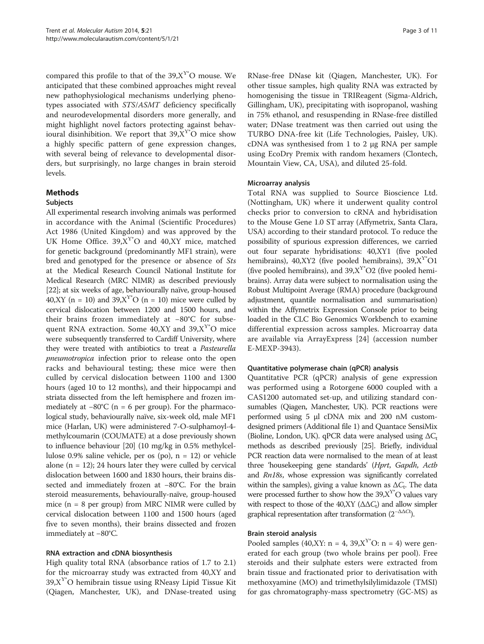compared this profile to that of the  $39, X^{Y*}O$  mouse. We anticipated that these combined approaches might reveal new pathophysiological mechanisms underlying phenotypes associated with STS/ASMT deficiency specifically and neurodevelopmental disorders more generally, and might highlight novel factors protecting against behavioural disinhibition. We report that  $39, X^{Y*}O$  mice show a highly specific pattern of gene expression changes, with several being of relevance to developmental disorders, but surprisingly, no large changes in brain steroid levels.

## Methods

#### Subjects

All experimental research involving animals was performed in accordance with the Animal (Scientific Procedures) Act 1986 (United Kingdom) and was approved by the UK Home Office.  $39, X^{Y*}O$  and  $40, XY$  mice, matched for genetic background (predominantly MF1 strain), were bred and genotyped for the presence or absence of Sts at the Medical Research Council National Institute for Medical Research (MRC NIMR) as described previously [[22](#page-9-0)]; at six weeks of age, behaviourally naïve, group-housed 40,XY (n = 10) and  $39, X^{\gamma*}O$  (n = 10) mice were culled by cervical dislocation between 1200 and 1500 hours, and their brains frozen immediately at −80°C for subsequent RNA extraction. Some  $40, XY$  and  $39, X<sup>Y*</sup>O$  mice were subsequently transferred to Cardiff University, where they were treated with antibiotics to treat a Pasteurella pneumotropica infection prior to release onto the open racks and behavioural testing; these mice were then culled by cervical dislocation between 1100 and 1300 hours (aged 10 to 12 months), and their hippocampi and striata dissected from the left hemisphere and frozen immediately at  $-80^{\circ}$ C (n = 6 per group). For the pharmacological study, behaviourally naïve, six-week old, male MF1 mice (Harlan, UK) were administered 7-O-sulphamoyl-4 methylcoumarin (COUMATE) at a dose previously shown to influence behaviour [\[20\]](#page-9-0) (10 mg/kg in 0.5% methylcellulose  $0.9\%$  saline vehicle, per os (po),  $n = 12$ ) or vehicle alone  $(n = 12)$ ; 24 hours later they were culled by cervical dislocation between 1600 and 1830 hours, their brains dissected and immediately frozen at −80°C. For the brain steroid measurements, behaviourally-naïve, group-housed mice  $(n = 8$  per group) from MRC NIMR were culled by cervical dislocation between 1100 and 1500 hours (aged five to seven months), their brains dissected and frozen immediately at −80°C.

#### RNA extraction and cDNA biosynthesis

High quality total RNA (absorbance ratios of 1.7 to 2.1) for the microarray study was extracted from 40,XY and  $39, X^T$ O hemibrain tissue using RNeasy Lipid Tissue Kit (Qiagen, Manchester, UK), and DNase-treated using

RNase-free DNase kit (Qiagen, Manchester, UK). For other tissue samples, high quality RNA was extracted by homogenising the tissue in TRIReagent (Sigma-Aldrich, Gillingham, UK), precipitating with isopropanol, washing in 75% ethanol, and resuspending in RNase-free distilled water; DNase treatment was then carried out using the TURBO DNA-free kit (Life Technologies, Paisley, UK). cDNA was synthesised from 1 to 2  $\mu$ g RNA per sample using EcoDry Premix with random hexamers (Clontech, Mountain View, CA, USA), and diluted 25-fold.

#### Microarray analysis

Total RNA was supplied to Source Bioscience Ltd. (Nottingham, UK) where it underwent quality control checks prior to conversion to cRNA and hybridisation to the Mouse Gene 1.0 ST array (Affymetrix, Santa Clara, USA) according to their standard protocol. To reduce the possibility of spurious expression differences, we carried out four separate hybridisations: 40,XY1 (five pooled hemibrains), 40,XY2 (five pooled hemibrains),  $39, X^{Y*}O1$ (five pooled hemibrains), and  $39, X^{Y*}O2$  (five pooled hemibrains). Array data were subject to normalisation using the Robust Multipoint Average (RMA) procedure (background adjustment, quantile normalisation and summarisation) within the Affymetrix Expression Console prior to being loaded in the CLC Bio Genomics Workbench to examine differential expression across samples. Microarray data are available via ArrayExpress [\[24](#page-9-0)] (accession number E-MEXP-3943).

#### Quantitative polymerase chain (qPCR) analysis

Quantitative PCR (qPCR) analysis of gene expression was performed using a Rotorgene 6000 coupled with a CAS1200 automated set-up, and utilizing standard consumables (Qiagen, Manchester, UK). PCR reactions were performed using 5 μl cDNA mix and 200 nM customdesigned primers (Additional file [1\)](#page-8-0) and Quantace SensiMix (Bioline, London, UK). qPCR data were analysed using  $\Delta C_t$ methods as described previously [\[25](#page-9-0)]. Briefly, individual PCR reaction data were normalised to the mean of at least three 'housekeeping gene standards' (Hprt, Gapdh, Actb and Rn18s, whose expression was significantly correlated within the samples), giving a value known as  $\Delta C_t$ . The data were processed further to show how the  $39, X^{\gamma}$ °O values vary with respect to those of the 40, XY ( $\Delta \Delta C_t$ ) and allow simpler graphical representation after transformation  $(2^{-\Delta\Delta Ct})$ .

#### Brain steroid analysis

Pooled samples (40,XY:  $n = 4$ , 39,X<sup>Y</sup>°O:  $n = 4$ ) were generated for each group (two whole brains per pool). Free steroids and their sulphate esters were extracted from brain tissue and fractionated prior to derivatisation with methoxyamine (MO) and trimethylsilylimidazole (TMSI) for gas chromatography-mass spectrometry (GC-MS) as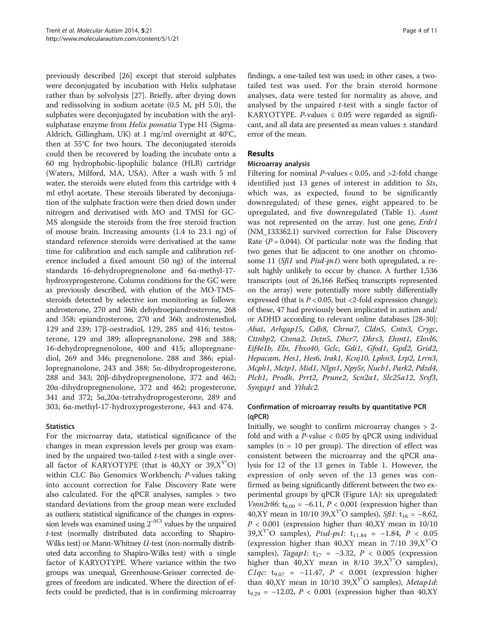previously described [[26\]](#page-9-0) except that steroid sulphates were deconjugated by incubation with Helix sulphatase rather than by solvolysis [\[27\]](#page-9-0). Briefly, after drying down and redissolving in sodium acetate (0.5 M, pH 5.0), the sulphates were deconjugated by incubation with the arylsulphatase enzyme from Helix pomatia Type H1 (Sigma-Aldrich, Gillingham, UK) at 1 mg/ml overnight at 40°C, then at 55°C for two hours. The deconjugated steroids could then be recovered by loading the incubate onto a 60 mg hydrophobic-lipophilic balance (HLB) cartridge (Waters, Milford, MA, USA). After a wash with 5 ml water, the steroids were eluted from this cartridge with 4 ml ethyl acetate. These steroids liberated by deconjugation of the sulphate fraction were then dried down under nitrogen and derivatised with MO and TMSI for GC-MS alongside the steroids from the free steroid fraction of mouse brain. Increasing amounts (1.4 to 23.1 ng) of standard reference steroids were derivatised at the same time for calibration and each sample and calibration reference included a fixed amount (50 ng) of the internal standards 16-dehydropregnenolone and 6α-methyl-17 hydroxyprogesterone. Column conditions for the GC were as previously described, with elution of the MO-TMSsteroids detected by selective ion monitoring as follows: androsterone, 270 and 360; dehydroepiandrosterone, 268 and 358; epiandrosterone, 270 and 360; androstenediol, 129 and 239; 17β-oestradiol, 129, 285 and 416; testosterone, 129 and 389; allopregnanolone, 298 and 388; 16-dehydropregnenolone, 400 and 415; allopregnanediol, 269 and 346; pregnenolone, 288 and 386; epiallopregnanolone, 243 and 388; 5α-dihydroprogesterone, 288 and 343; 20β-dihydropregnenolone, 372 and 462; 20α-dihydropregnenolone, 372 and 462; progesterone, 341 and 372; 5α,20α-tetrahydroprogesterone, 289 and 303; 6α-methyl-17-hydroxyprogesterone, 443 and 474.

## **Statistics**

For the microarray data, statistical significance of the changes in mean expression levels per group was examined by the unpaired two-tailed  $t$ -test with a single overall factor of KARYOTYPE (that is  $40, XY$  or  $39, X^{\prime\prime}O$ ) within CLC Bio Genomics Workbench; P-values taking into account correction for False Discovery Rate were also calculated. For the qPCR analyses, samples > two standard deviations from the group mean were excluded as outliers; statistical significance of the changes in expression levels was examined using  $2^{\triangle^{\text{CC}}}$  values by the unpaired t-test (normally distributed data according to Shapiro-Wilks test) or Mann-Whitney U-test (non-normally distributed data according to Shapiro-Wilks test) with a single factor of KARYOTYPE. Where variance within the two groups was unequal, Greenhouse-Geisser corrected degrees of freedom are indicated. Where the direction of effects could be predicted, that is in confirming microarray findings, a one-tailed test was used; in other cases, a twotailed test was used. For the brain steroid hormone analyses, data were tested for normality as above, and analysed by the unpaired  $t$ -test with a single factor of KARYOTYPE. *P*-values  $\leq$  0.05 were regarded as significant, and all data are presented as mean values ± standard error of the mean.

## Results

## Microarray analysis

Filtering for nominal  $P$ -values < 0.05, and >2-fold change identified just 13 genes of interest in addition to Sts, which was, as expected, found to be significantly downregulated; of these genes, eight appeared to be upregulated, and five downregulated (Table [1](#page-4-0)). Asmt was not represented on the array. Just one gene, Erdr1 (NM\_133362.1) survived correction for False Discovery Rate ( $P = 0.044$ ). Of particular note was the finding that two genes that lie adjacent to one another on chromosome 11 (Sfi1 and Pisd-ps1) were both upregulated, a result highly unlikely to occur by chance. A further 1,536 transcripts (out of 26,166 RefSeq transcripts represented on the array) were potentially more subtly differentially expressed (that is  $P < 0.05$ , but <2-fold expression change); of these, 47 had previously been implicated in autism and/ or ADHD according to relevant online databases [[28](#page-9-0)-[30](#page-9-0)]: Abat, Arhgap15, Cdh8, Chrna7, Cldn5, Cntn3, Crygc, Cttnbp2, Ctnna2, Dctn5, Dhcr7, Dhrs3, Ehmt1, Elovl6, Eif4e1b, Eln, Fbxo40, Gclc, Gdi1, Gfod1, Gpd2, Grid2, Hepacam, Hes1, Hes6, Irak1, Kcnj10, Lphn3, Lrp2, Lrrn3, Mcph1, Mctp1, Mid1, Nlgn1, Npy5r, Nucb1, Park2, Pdzd4, Plcb1, Prodh, Prrt2, Prune2, Scn2a1, Slc25a12, Srsf3, Syngap1 and Ythdc2.

## Confirmation of microarray results by quantitative PCR (qPCR)

Initially, we sought to confirm microarray changes  $> 2$ fold and with a  $P$ -value < 0.05 by qPCR using individual samples ( $n = 10$  per group). The direction of effect was consistent between the microarray and the qPCR analysis for 12 of the 13 genes in Table [1.](#page-4-0) However, the expression of only seven of the 13 genes was confirmed as being significantly different between the two experimental groups by qPCR (Figure [1A](#page-4-0)): six upregulated: *Vmn2r86*:  $t_{8.00}$  = −6.11, *P* < 0.001 (expression higher than 40,XY mean in 10/10 39,X<sup>Y\*</sup>O samples), Sfi1: t<sub>16</sub> = -8.62,  $P < 0.001$  (expression higher than 40, XY mean in 10/10 39,X<sup>Y\*</sup>O samples), *Pisd-ps1*: t<sub>11.84</sub> = -1.84, *P* < 0.05 (expression higher than 40, XY mean in 7/10 39,  $X^{Y*}O$ samples), Tagap1:  $t_{17} = -3.32$ ,  $P < 0.005$  (expression higher than 40,XY mean in  $8/10$  39,X<sup>Y\*</sup>O samples), C1qc:  $t_{9.07}$  = −11.47, P < 0.001 (expression higher than 40,XY mean in 10/10 39,X<sup>Y</sup>°O samples), Metap1d: t<sub>9.29</sub> = −12.02, *P* < 0.001 (expression higher than 40,XY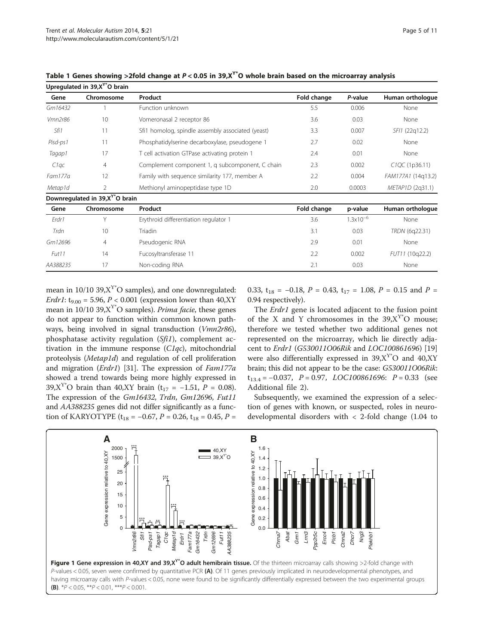Upregulated in  $39.X^{\gamma*}$ O brain

| Gene              | Chromosome                                  | Product                                           | Fold change | P-value              | Human orthologue            |  |
|-------------------|---------------------------------------------|---------------------------------------------------|-------------|----------------------|-----------------------------|--|
| Gm16432           |                                             | Function unknown                                  | 5.5         | 0.006                | None                        |  |
| Vmn2r86           | 10                                          | Vomeronasal 2 receptor 86                         | 3.6         | 0.03                 | None                        |  |
| Sfi1              | 11                                          | Sfi1 homolog, spindle assembly associated (yeast) | 3.3         | 0.007                | SFI1 (22q12.2)              |  |
| Pisd-ps1          | 11                                          | Phosphatidylserine decarboxylase, pseudogene 1    | 2.7         | 0.02<br>None         |                             |  |
| Tagap1            | 17                                          | T cell activation GTPase activating protein 1     | 2.4         | 0.01                 | None                        |  |
| C1qc              | $\overline{4}$                              | Complement component 1, q subcomponent, C chain   | 2.3         | 0.002                | C <sub>1</sub> QC (1p36.11) |  |
| Fam177a           | 12                                          | Family with sequence similarity 177, member A     | 2.2         | 0.004                | FAM177A1 (14q13.2)          |  |
| Metap1d           | 2                                           | Methionyl aminopeptidase type 1D                  | 2.0         | 0.0003               | METAP1D (2q31.1)            |  |
|                   | Downregulated in 39,X <sup>Y*</sup> O brain |                                                   |             |                      |                             |  |
| Gene              | Chromosome                                  | Product                                           | Fold change | p-value              | Human orthologue            |  |
| Erdr1             | Υ                                           | Erythroid differentiation regulator 1             | 3.6         | $1.3 \times 10^{-6}$ | None                        |  |
| Trdn              | 10                                          | Triadin                                           | 3.1         | 0.03                 | TRDN (6q22.31)              |  |
| Gm12696           | 4                                           | Pseudogenic RNA                                   | 2.9         | 0.01                 | None                        |  |
| Fut <sub>11</sub> | 14                                          | Fucosyltransferase 11                             | 2.2         | 0.002                | FUT11 (10q22.2)             |  |
| AA388235          | 17                                          | Non-coding RNA                                    | 2.1         | 0.03                 | None                        |  |

<span id="page-4-0"></span>Table 1 Genes showing >2fold change at  $P < 0.05$  in 39,X<sup>Y\*</sup>O whole brain based on the microarray analysis

mean in  $10/10$  39, $X^{Y*}O$  samples), and one downregulated: *Erdr1*:  $t_{9.00} = 5.96, P < 0.001$  (expression lower than 40,XY) mean in 10/10 39, $X^{Y*}O$  samples). *Prima facie*, these genes do not appear to function within common known pathways, being involved in signal transduction (Vmn2r86), phosphatase activity regulation (Sfi1), complement activation in the immune response  $(Clqc)$ , mitochondrial proteolysis (Metap1d) and regulation of cell proliferation and migration (Erdr1) [\[31\]](#page-9-0). The expression of Fam177a showed a trend towards being more highly expressed in 39,X<sup>Y\*</sup>O brain than 40,XY brain (t<sub>17</sub> = -1.51, P = 0.08). The expression of the Gm16432, Trdn, Gm12696, Fut11 and AA388235 genes did not differ significantly as a function of KARYOTYPE ( $t_{18} = -0.67$ ,  $P = 0.26$ ,  $t_{18} = 0.45$ ,  $P =$ 

0.33,  $t_{18} = -0.18$ ,  $P = 0.43$ ,  $t_{17} = 1.08$ ,  $P = 0.15$  and  $P =$ 0.94 respectively).

The *Erdr1* gene is located adjacent to the fusion point of the X and Y chromosomes in the  $39, X^{\gamma*}O$  mouse; therefore we tested whether two additional genes not represented on the microarray, which lie directly adjacent to Erdr1 (G530011O06Rik and LOC100861696) [[19](#page-9-0)] were also differentially expressed in  $39, X^{\gamma*}O$  and  $40, XY$ brain; this did not appear to be the case: G530011O06Rik:  $t_{13.4} = -0.037$ ,  $P = 0.97$ ,  $LOC100861696$ :  $P = 0.33$  (see Additional file [2](#page-8-0)).

Subsequently, we examined the expression of a selection of genes with known, or suspected, roles in neurodevelopmental disorders with < 2-fold change (1.04 to

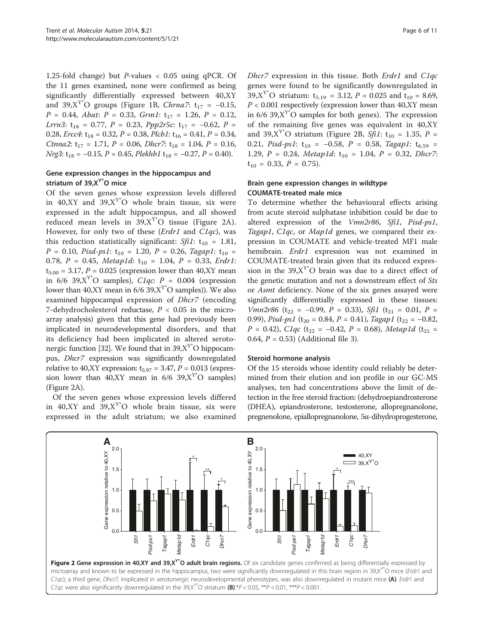1.25-fold change) but P-values < 0.05 using qPCR. Of the 11 genes examined, none were confirmed as being significantly differentially expressed between 40,XY and 39,X<sup>Y\*</sup>O groups (Figure [1](#page-4-0)B, Chrna7: t<sub>17</sub> = -0.15,  $P = 0.44$ , Abat:  $P = 0.33$ , Grm1:  $t_{17} = 1.26$ ,  $P = 0.12$ , Lrrn3:  $t_{18} = 0.77$ ,  $P = 0.23$ ,  $Ppp2r5c$ :  $t_{17} = -0.62$ ,  $P =$ 0.28, *Ercc4*:  $t_{18} = 0.32$ ,  $P = 0.38$ , *Plcb1*:  $t_{16} = 0.41$ ,  $P = 0.34$ , Ctnna2:  $t_{17} = 1.71$ ,  $P = 0.06$ , Dhcr7:  $t_{18} = 1.04$ ,  $P = 0.16$ ,  $Nrg3: t_{18} = -0.15, P = 0.45, Plekhb1 t_{18} = -0.27, P = 0.40).$ 

## Gene expression changes in the hippocampus and striatum of  $39.X^{\gamma*}$ O mice

Of the seven genes whose expression levels differed in 40,XY and 39,X<sup>Y\*</sup>O whole brain tissue, six were expressed in the adult hippocampus, and all showed reduced mean levels in  $39, X^{Y*}O$  tissue (Figure 2A). However, for only two of these (Erdr1 and C1qc), was this reduction statistically significant:  $Sfil$ :  $t_{10} = 1.81$ ,  $P = 0.10$ , Pisd-ps1:  $t_{10} = 1.20$ ,  $P = 0.26$ , Tagap1:  $t_{10} =$ 0.78,  $P = 0.45$ , Metap1d:  $t_{10} = 1.04$ ,  $P = 0.33$ , Erdr1:  $t_{5.00} = 3.17, P = 0.025$  (expression lower than 40,XY mean in 6/6 39, $X^{Y*}O$  samples),  $C1qc: P = 0.004$  (expression lower than 40,XY mean in  $6/6$  39,X<sup>Y\*</sup>O samples)). We also examined hippocampal expression of Dhcr7 (encoding 7-dehydrocholesterol reductase,  $P < 0.05$  in the microarray analysis) given that this gene had previously been implicated in neurodevelopmental disorders, and that its deficiency had been implicated in altered seroto-nergic function [\[32](#page-9-0)]. We found that in  $39, X^{Y*}O$  hippocampus, Dhcr7 expression was significantly downregulated relative to 40,XY expression:  $t_{5.97} = 3.47$ ,  $P = 0.013$  (expression lower than 40, XY mean in  $6/6$  39,  $X^{Y*}O$  samples) (Figure 2A).

Of the seven genes whose expression levels differed in 40,XY and 39,X<sup>Y\*</sup>O whole brain tissue, six were expressed in the adult striatum; we also examined Dhcr7 expression in this tissue. Both Erdr1 and C1qc genes were found to be significantly downregulated in 39,X<sup>Y\*</sup>O striatum:  $t_{5.19} = 3.12$ ,  $P = 0.025$  and  $t_{10} = 8.69$ ,  $P < 0.001$  respectively (expression lower than 40, XY mean in 6/6 39, $X^{Y*}O$  samples for both genes). The expression of the remaining five genes was equivalent in 40,XY and 39,X<sup>Y\*</sup>O striatum (Figure 2B, Sfi1:  $t_{10} = 1.35$ , P = 0.21, Pisd-ps1:  $t_{10} = -0.58$ , P = 0.58, Tagap1:  $t_{6.59}$  = 1.29,  $P = 0.24$ , Metap1d:  $t_{10} = 1.04$ ,  $P = 0.32$ , Dhcr7:  $t_{10} = 0.33, P = 0.75$ .

## Brain gene expression changes in wildtype COUMATE-treated male mice

To determine whether the behavioural effects arising from acute steroid sulphatase inhibition could be due to altered expression of the Vmn2r86, Sfi1, Pisd-ps1, Tagap1, C1qc, or Map1d genes, we compared their expression in COUMATE and vehicle-treated MF1 male hemibrain. Erdr1 expression was not examined in COUMATE-treated brain given that its reduced expression in the  $39.X<sup>Y</sup>$ °O brain was due to a direct effect of the genetic mutation and not a downstream effect of Sts or *Asmt* deficiency. None of the six genes assayed were significantly differentially expressed in these tissues: Vmn2r86 (t<sub>22</sub> = -0.99, P = 0.33), Sfi1 (t<sub>21</sub> = 0.01, P = 0.99), Pisd-ps1 (t<sub>20</sub> = 0.84, P = 0.41), Tagap1 (t<sub>22</sub> = -0.82,  $P = 0.42$ ), C1qc (t<sub>22</sub> = -0.42, P = 0.68), Metap1d (t<sub>21</sub> = 0.64,  $P = 0.53$ ) (Additional file [3](#page-8-0)).

## Steroid hormone analysis

Of the 15 steroids whose identity could reliably be determined from their elution and ion profile in our GC-MS analyses, ten had concentrations above the limit of detection in the free steroid fraction: (dehydroepiandrosterone (DHEA), epiandrosterone, testosterone, allopregnanolone, pregnenolone, epiallopregnanolone, 5α-dihydroprogesterone,

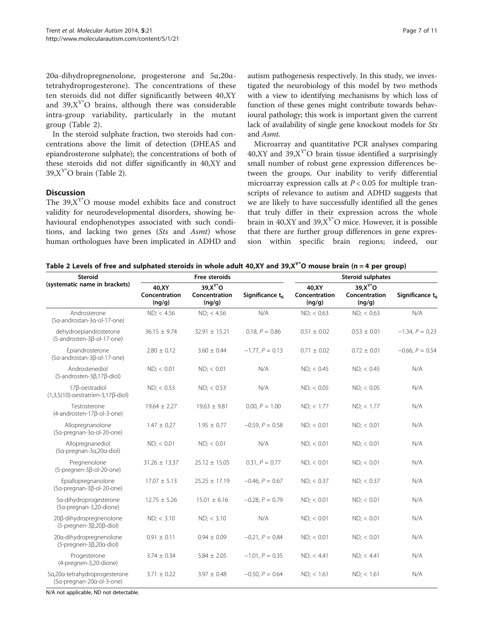20α-dihydropregnenolone, progesterone and 5α,20αtetrahydroprogesterone). The concentrations of these ten steroids did not differ significantly between 40,XY and  $39, X^{Y*}O$  brains, although there was considerable intra-group variability, particularly in the mutant group (Table 2).

In the steroid sulphate fraction, two steroids had concentrations above the limit of detection (DHEAS and epiandrosterone sulphate); the concentrations of both of these steroids did not differ significantly in 40,XY and  $39, X^{Y*}O$  brain (Table 2).

## Discussion

The  $39,X^{Y*}O$  mouse model exhibits face and construct validity for neurodevelopmental disorders, showing behavioural endophenotypes associated with such conditions, and lacking two genes (Sts and Asmt) whose human orthologues have been implicated in ADHD and

autism pathogenesis respectively. In this study, we investigated the neurobiology of this model by two methods with a view to identifying mechanisms by which loss of function of these genes might contribute towards behavioural pathology; this work is important given the current lack of availability of single gene knockout models for Sts and Asmt.

Microarray and quantitative PCR analyses comparing 40,XY and 39, $X^Y$ °O brain tissue identified a surprisingly small number of robust gene expression differences between the groups. Our inability to verify differential microarray expression calls at  $P < 0.05$  for multiple transcripts of relevance to autism and ADHD suggests that we are likely to have successfully identified all the genes that truly differ in their expression across the whole brain in 40,XY and 39,X $Y^*$ O mice. However, it is possible that there are further group differences in gene expression within specific brain regions; indeed, our

Table 2 Levels of free and sulphated steroids in whole adult 40,XY and 39,X<sup>Y\*</sup>O mouse brain (n = 4 per group)

| <b>Steroid</b>                                                          | Free steroids                     |                                                 |                    | <b>Steroid sulphates</b>         |                                              |                             |
|-------------------------------------------------------------------------|-----------------------------------|-------------------------------------------------|--------------------|----------------------------------|----------------------------------------------|-----------------------------|
| (systematic name in brackets)                                           | 40, XY<br>Concentration<br>(ng/g) | 39.X <sup>Y*</sup> O<br>Concentration<br>(nq/q) | Significance $t_6$ | 40.XY<br>Concentration<br>(nq/q) | $39.X^{\gamma*}O$<br>Concentration<br>(ng/g) | Significance t <sub>6</sub> |
| Androsterone<br>(5a-androstan-3a-ol-17-one)                             | $ND$ ; < 4.56                     | $ND$ ; < 4.56                                   | N/A                | $ND$ ; < 0.63                    | $ND$ ; < 0.63                                | N/A                         |
| dehydroepiandrosterone<br>(5-androsten-3ß-ol-17-one)                    | $36.15 \pm 9.74$                  | $32.91 \pm 15.21$                               | 0.18, $P = 0.86$   | $0.51 \pm 0.02$                  | $0.53 \pm 0.01$                              | $-1.34, P = 0.23$           |
| Epiandrosterone<br>(5α-androstan-3β-ol-17-one)                          | $2.80 \pm 0.12$                   | $3.60 \pm 0.44$                                 | $-1.77, P = 0.13$  | $0.71 \pm 0.02$                  | $0.72 \pm 0.01$                              | $-0.66, P = 0.54$           |
| Androstenediol<br>$(5$ -androsten-3 $\beta$ ,17 $\beta$ -diol)          | $ND$ ; < 0.01                     | $ND$ ; < 0.01                                   | N/A                | $ND$ ; < 0.45                    | $ND$ ; < $0.45$                              | N/A                         |
| 17 <sub>B</sub> -oestradiol<br>$(1,3,5(10)-oestratrien-3,17\beta-diol)$ | $ND$ ; < 0.53                     | $ND$ ; < 0.53                                   | N/A                | $ND$ ; < 0.05                    | $ND$ ; < $0.05$                              | N/A                         |
| Testosterone<br>(4-androsten-17β-ol-3-one)                              | $19.64 \pm 2.27$                  | $19.63 \pm 9.81$                                | 0.00, $P = 1.00$   | $ND$ ; < 1.77                    | $ND$ ; < 1.77                                | N/A                         |
| Allopregnanolone<br>(5a-pregnan-3a-ol-20-one)                           | $1.47 \pm 0.27$                   | $1.95 \pm 0.77$                                 | $-0.59, P = 0.58$  | $ND$ ; < 0.01                    | $ND$ ; < 0.01                                | N/A                         |
| Allopregnanediol<br>(5a-pregnan-3a,20a-diol)                            | $ND$ ; < 0.01                     | $ND$ ; < 0.01                                   | N/A                | $ND$ ; < 0.01                    | $ND$ ; < 0.01                                | N/A                         |
| Pregnenolone<br>(5-pregnen-3β-ol-20-one)                                | $31.26 \pm 13.37$                 | $25.12 \pm 15.05$                               | $0.31, P = 0.77$   | $ND$ ; < 0.01                    | ND; < 0.01                                   | N/A                         |
| Epiallopregnanolone<br>(5a-pregnan-3ß-ol-20-one)                        | $17.07 \pm 5.13$                  | $25.25 \pm 17.19$                               | $-0.46, P = 0.67$  | $ND$ ; < 0.37                    | $ND$ ; < 0.37                                | N/A                         |
| 5a-dihydroprogesterone<br>(5a-pregnan-3,20-dione)                       | $12.75 \pm 5.26$                  | $15.01 \pm 6.16$                                | $-0.28, P = 0.79$  | $ND$ ; < 0.01                    | $ND$ ; < 0.01                                | N/A                         |
| 20ß-dihydropregnenolone<br>$(5$ -pregnen-3 $\beta$ ,20 $\beta$ -diol)   | $ND$ ; < 3.10                     | $ND$ ; < 3.10                                   | N/A                | $ND$ ; < 0.01                    | $ND$ ; < 0.01                                | N/A                         |
| 20a-dihydropregnenolone<br>$(5$ -pregnen-3 $\beta$ ,20 $\alpha$ -diol)  | $0.91 \pm 0.11$                   | $0.94 \pm 0.09$                                 | $-0.21, P = 0.84$  | $ND$ ; < 0.01                    | $ND$ ; < 0.01                                | N/A                         |
| Progesterone<br>(4-pregnen-3,20-dione)                                  | $3.74 \pm 0.34$                   | $5.84 \pm 2.05$                                 | $-1.01, P = 0.35$  | ND; < 4.41                       | ND: < 4.41                                   | N/A                         |
| 5a,20a-tetrahydroprogesterone<br>(5a-pregnan-20a-ol-3-one)              | $3.71 \pm 0.22$                   | $3.97 \pm 0.48$                                 | $-0.50, P = 0.64$  | $ND$ ; < 1.61                    | $ND$ ; < 1.61                                | N/A                         |

N/A not applicable, ND not detectable.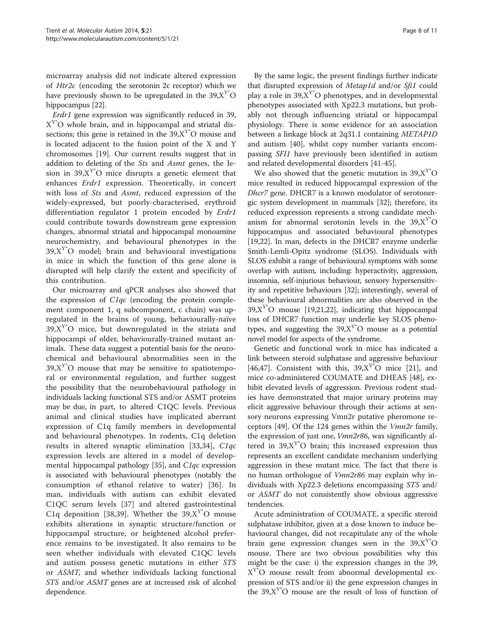microarray analysis did not indicate altered expression of Htr2c (encoding the serotonin 2c receptor) which we have previously shown to be upregulated in the  $39, X^{Y^*}O$ hippocampus [\[22\]](#page-9-0).

Erdr1 gene expression was significantly reduced in 39,  $X^{Y*}O$  whole brain, and in hippocampal and striatal dissections; this gene is retained in the  $39.X<sup>Y*</sup>O$  mouse and is located adjacent to the fusion point of the X and Y chromosomes [\[19](#page-9-0)]. Our current results suggest that in addition to deleting of the Sts and Asmt genes, the lesion in 39, $X^{Y*}O$  mice disrupts a genetic element that enhances Erdr1 expression. Theoretically, in concert with loss of *Sts* and *Asmt*, reduced expression of the widely-expressed, but poorly-characterised, erythroid differentiation regulator 1 protein encoded by *Erdr1* could contribute towards downstream gene expression changes, abnormal striatal and hippocampal monoamine neurochemistry, and behavioural phenotypes in the  $39, X<sup>Y*</sup>O$  model; brain and behavioural investigations in mice in which the function of this gene alone is disrupted will help clarify the extent and specificity of this contribution.

Our microarray and qPCR analyses also showed that the expression of C1qc (encoding the protein complement component 1, q subcomponent, c chain) was upregulated in the brains of young, behaviourally-naïve  $39, X^{Y*}O$  mice, but downregulated in the striata and hippocampi of older, behaviourally-trained mutant animals. These data suggest a potential basis for the neurochemical and behavioural abnormalities seen in the  $39, X^{Y*}O$  mouse that may be sensitive to spatiotemporal or environmental regulation, and further suggest the possibility that the neurobehavioural pathology in individuals lacking functional STS and/or ASMT proteins may be due, in part, to altered C1QC levels. Previous animal and clinical studies have implicated aberrant expression of C1q family members in developmental and behavioural phenotypes. In rodents, C1q deletion results in altered synaptic elimination [[33](#page-9-0),[34\]](#page-9-0), C1qc expression levels are altered in a model of developmental hippocampal pathology [[35](#page-9-0)], and C1qc expression is associated with behavioural phenotypes (notably the consumption of ethanol relative to water) [\[36](#page-9-0)]. In man, individuals with autism can exhibit elevated C1QC serum levels [\[37](#page-9-0)] and altered gastrointestinal C1q deposition [[38,39\]](#page-9-0). Whether the  $39, X^Y$ °O mouse exhibits alterations in synaptic structure/function or hippocampal structure, or heightened alcohol preference remains to be investigated. It also remains to be seen whether individuals with elevated C1QC levels and autism possess genetic mutations in either STS or ASMT, and whether individuals lacking functional STS and/or ASMT genes are at increased risk of alcohol dependence.

By the same logic, the present findings further indicate that disrupted expression of Metap1d and/or Sfi1 could play a role in 39, $X^{Y*}O$  phenotypes, and in developmental phenotypes associated with Xp22.3 mutations, but probably not through influencing striatal or hippocampal physiology. There is some evidence for an association between a linkage block at 2q31.1 containing METAP1D and autism [\[40\]](#page-10-0), whilst copy number variants encompassing SFI1 have previously been identified in autism and related developmental disorders [[41](#page-10-0)-[45\]](#page-10-0).

We also showed that the genetic mutation in  $39, X^{Y*}O$ mice resulted in reduced hippocampal expression of the Dhcr7 gene. DHCR7 is a known modulator of serotonergic system development in mammals [[32\]](#page-9-0); therefore, its reduced expression represents a strong candidate mechanism for abnormal serotonin levels in the  $39, X^{Y*}O$ hippocampus and associated behavioural phenotypes [[19,22\]](#page-9-0). In man, defects in the DHCR7 enzyme underlie Smith-Lemli-Opitz syndrome (SLOS). Individuals with SLOS exhibit a range of behavioural symptoms with some overlap with autism, including: hyperactivity, aggression, insomnia, self-injurious behaviour, sensory hypersensitivity and repetitive behaviours [\[32\]](#page-9-0); interestingly, several of these behavioural abnormalities are also observed in the  $39, X^{Y*}O$  mouse [[19,21,22\]](#page-9-0), indicating that hippocampal loss of DHCR7 function may underlie key SLOS phenotypes, and suggesting the  $39, X^{\gamma*}O$  mouse as a potential novel model for aspects of the syndrome.

Genetic and functional work in mice has indicated a link between steroid sulphatase and aggressive behaviour [[46,47\]](#page-10-0). Consistent with this,  $39, X^{Y*}O$  mice [[21\]](#page-9-0), and mice co-administered COUMATE and DHEAS [\[48](#page-10-0)], exhibit elevated levels of aggression. Previous rodent studies have demonstrated that major urinary proteins may elicit aggressive behaviour through their actions at sensory neurons expressing Vmn2r putative pheromone receptors [\[49\]](#page-10-0). Of the 124 genes within the Vmn2r family, the expression of just one, *Vmn2r86*, was significantly altered in  $39, X^{\prime\prime}$ <sup>o</sup> brain; this increased expression thus represents an excellent candidate mechanism underlying aggression in these mutant mice. The fact that there is no human orthologue of *Vmn2r86* may explain why individuals with Xp22.3 deletions encompassing STS and/ or ASMT do not consistently show obvious aggressive tendencies.

Acute administration of COUMATE, a specific steroid sulphatase inhibitor, given at a dose known to induce behavioural changes, did not recapitulate any of the whole brain gene expression changes seen in the  $39, X^Y$ °O mouse. There are two obvious possibilities why this might be the case: i) the expression changes in the 39,  $X<sup>Y</sup>$ °O mouse result from abnormal developmental expression of STS and/or ii) the gene expression changes in the  $39, X^{\gamma*}O$  mouse are the result of loss of function of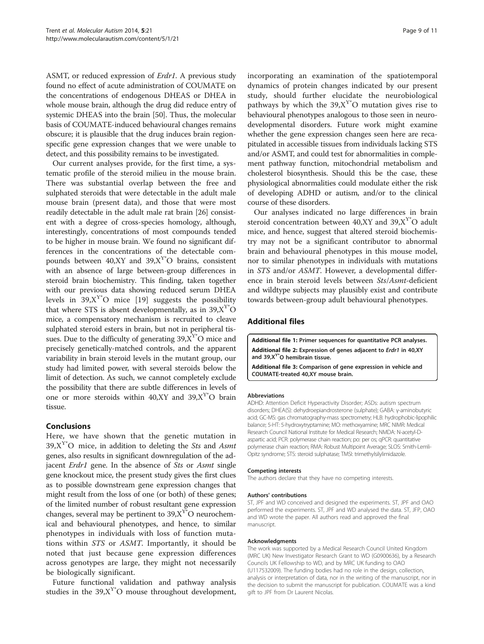<span id="page-8-0"></span>ASMT, or reduced expression of Erdr1. A previous study found no effect of acute administration of COUMATE on the concentrations of endogenous DHEAS or DHEA in whole mouse brain, although the drug did reduce entry of systemic DHEAS into the brain [[50\]](#page-10-0). Thus, the molecular basis of COUMATE-induced behavioural changes remains obscure; it is plausible that the drug induces brain regionspecific gene expression changes that we were unable to detect, and this possibility remains to be investigated.

Our current analyses provide, for the first time, a systematic profile of the steroid milieu in the mouse brain. There was substantial overlap between the free and sulphated steroids that were detectable in the adult male mouse brain (present data), and those that were most readily detectable in the adult male rat brain [[26](#page-9-0)] consistent with a degree of cross-species homology, although, interestingly, concentrations of most compounds tended to be higher in mouse brain. We found no significant differences in the concentrations of the detectable compounds between  $40, XY$  and  $39, X<sup>Y</sup>$ °O brains, consistent with an absence of large between-group differences in steroid brain biochemistry. This finding, taken together with our previous data showing reduced serum DHEA levels in  $39, X^{Y*}O$  mice [[19\]](#page-9-0) suggests the possibility that where STS is absent developmentally, as in  $39, X^{Y*}O$ mice, a compensatory mechanism is recruited to cleave sulphated steroid esters in brain, but not in peripheral tissues. Due to the difficulty of generating  $39, X^{Y^*}O$  mice and precisely genetically-matched controls, and the apparent variability in brain steroid levels in the mutant group, our study had limited power, with several steroids below the limit of detection. As such, we cannot completely exclude the possibility that there are subtle differences in levels of one or more steroids within 40, XY and 39,  $X^{Y*}O$  brain tissue.

## Conclusions

Here, we have shown that the genetic mutation in 39, $X^{Y*}O$  mice, in addition to deleting the *Sts* and *Asmt* genes, also results in significant downregulation of the adjacent Erdr1 gene. In the absence of Sts or Asmt single gene knockout mice, the present study gives the first clues as to possible downstream gene expression changes that might result from the loss of one (or both) of these genes; of the limited number of robust resultant gene expression changes, several may be pertinent to  $39, X^{\gamma*}O$  neurochemical and behavioural phenotypes, and hence, to similar phenotypes in individuals with loss of function mutations within STS or ASMT. Importantly, it should be noted that just because gene expression differences across genotypes are large, they might not necessarily be biologically significant.

Future functional validation and pathway analysis studies in the  $39, X^{Y*}O$  mouse throughout development, incorporating an examination of the spatiotemporal dynamics of protein changes indicated by our present study, should further elucidate the neurobiological pathways by which the  $39, X^{Y*}O$  mutation gives rise to behavioural phenotypes analogous to those seen in neurodevelopmental disorders. Future work might examine whether the gene expression changes seen here are recapitulated in accessible tissues from individuals lacking STS and/or ASMT, and could test for abnormalities in complement pathway function, mitochondrial metabolism and cholesterol biosynthesis. Should this be the case, these physiological abnormalities could modulate either the risk of developing ADHD or autism, and/or to the clinical course of these disorders.

Our analyses indicated no large differences in brain steroid concentration between  $40, XY$  and  $39, X<sup>Y</sup>$ °O adult mice, and hence, suggest that altered steroid biochemistry may not be a significant contributor to abnormal brain and behavioural phenotypes in this mouse model, nor to similar phenotypes in individuals with mutations in STS and/or ASMT. However, a developmental difference in brain steroid levels between Sts/Asmt-deficient and wildtype subjects may plausibly exist and contribute towards between-group adult behavioural phenotypes.

## Additional files

[Additional file 1:](http://www.biomedcentral.com/content/supplementary/2040-2392-5-21-S1.docx) Primer sequences for quantitative PCR analyses. [Additional file 2:](http://www.biomedcentral.com/content/supplementary/2040-2392-5-21-S2.docx) Expression of genes adjacent to Erdr1 in 40,XY and 39, X<sup>Y\*</sup>O hemibrain tissue.

[Additional file 3:](http://www.biomedcentral.com/content/supplementary/2040-2392-5-21-S3.docx) Comparison of gene expression in vehicle and COUMATE-treated 40,XY mouse brain.

#### Abbreviations

ADHD: Attention Deficit Hyperactivity Disorder; ASDs: autism spectrum disorders; DHEA(S): dehydroepiandrosterone (sulphate); GABA: γ-aminobutyric acid; GC-MS: gas chromatography-mass spectrometry; HLB: hydrophobic-lipophilic balance; 5-HT: 5-hydroxytryptamine; MO: methoxyamine; MRC NIMR: Medical Research Council National Institute for Medical Research; NMDA: N-acetyl-Daspartic acid; PCR: polymerase chain reaction; po: per os; qPCR: quantitative polymerase chain reaction; RMA: Robust Multipoint Average; SLOS: Smith-Lemli-Opitz syndrome; STS: steroid sulphatase; TMSI: trimethylsilylimidazole.

#### Competing interests

The authors declare that they have no competing interests.

#### Authors' contributions

ST, JPF and WD conceived and designed the experiments. ST, JPF and OAO performed the experiments. ST, JPF and WD analysed the data. ST, JFP, OAO and WD wrote the paper. All authors read and approved the final manuscript.

#### Acknowledgments

The work was supported by a Medical Research Council United Kingdom (MRC UK) New Investigator Research Grant to WD (G0900636), by a Research Councils UK Fellowship to WD, and by MRC UK funding to OAO (U117532009). The funding bodies had no role in the design, collection, analysis or interpretation of data, nor in the writing of the manuscript, nor in the decision to submit the manuscript for publication. COUMATE was a kind gift to JPF from Dr Laurent Nicolas.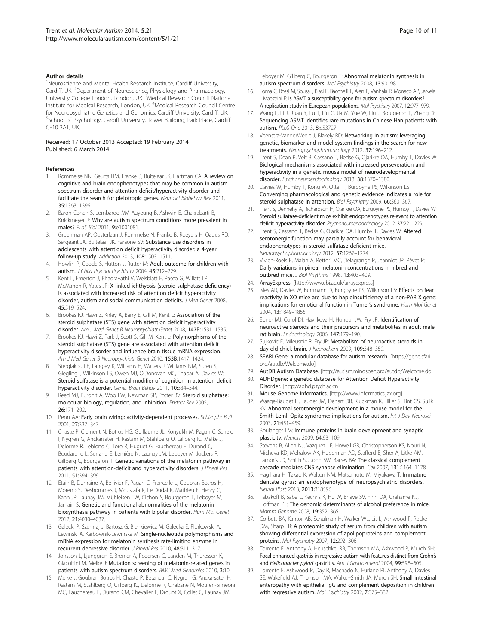#### <span id="page-9-0"></span>Author details

<sup>1</sup>Neuroscience and Mental Health Research Institute, Cardiff University, Cardiff, UK. <sup>2</sup>Department of Neuroscience, Physiology and Pharmacology, University College London, London, UK. <sup>3</sup>Medical Research Council National Institute for Medical Research, London, UK. <sup>4</sup>Medical Research Council Centre for Neuropsychiatric Genetics and Genomics, Cardiff University, Cardiff, UK. <sup>5</sup>School of Psychology, Cardiff University, Tower Building, Park Place, Cardiff CF10 3AT, UK.

#### Received: 17 October 2013 Accepted: 19 February 2014 Published: 6 March 2014

#### References

- Rommelse NN, Geurts HM, Franke B, Buitelaar JK, Hartman CA: A review on cognitive and brain endophenotypes that may be common in autism spectrum disorder and attention-deficit/hyperactivity disorder and facilitate the search for pleiotropic genes. Neurosci Biobehav Rev 2011, 35:1363–1396.
- 2. Baron-Cohen S, Lombardo MV, Auyeung B, Ashwin E, Chakrabarti B, Knickmeyer R: Why are autism spectrum conditions more prevalent in males? PLoS Biol 2011, 9:e1001081.
- 3. Groenman AP, Oosterlaan J, Rommelse N, Franke B, Roeyers H, Oades RD, Sergeant JA, Buitelaar JK, Faraone SV: Substance use disorders in adolescents with attention deficit hyperactivity disorder: a 4-year follow-up study. Addiction 2013, 108:1503–1511.
- 4. Howlin P, Goode S, Hutton J, Rutter M: Adult outcome for children with autism. J Child Psychol Psychiatry 2004, 45:212-229.
- 5. Kent L, Emerton J, Bhadravathi V, Weisblatt E, Pasco G, Willatt LR, McMahon R, Yates JR: X-linked ichthyosis (steroid sulphatase deficiency) is associated with increased risk of attention deficit hyperactivity disorder, autism and social communication deficits. J Med Genet 2008, 45:519–524.
- Brookes KJ, Hawi Z, Kirley A, Barry E, Gill M, Kent L: Association of the steroid sulphatase (STS) gene with attention deficit hyperactivity disorder. Am J Med Genet B Neuropsychiatr Genet 2008, 147B:1531-1535.
- Brookes KJ, Hawi Z, Park J, Scott S, Gill M, Kent L: Polymorphisms of the steroid sulphatase (STS) gene are associated with attention deficit hyperactivity disorder and influence brain tissue mRNA expression. Am J Med Genet B Neuropsychiatr Genet 2010, 153B:1417–1424.
- Stergiakouli E, Langley K, Williams H, Walters J, Williams NM, Suren S, Giegling I, Wilkinson LS, Owen MJ, O'Donovan MC, Thapar A, Davies W: Steroid sulfatase is a potential modifier of cognition in attention deficit hyperactivity disorder. Genes Brain Behav 2011, 10:334–344.
- Reed MJ, Purohit A, Woo LW, Newman SP, Potter BV: Steroid sulphatase: molecular biology, regulation, and inhibition. Endocr Rev 2005, 26:171–202.
- 10. Penn AA: Early brain wiring: activity-dependent processes. Schizophr Bull 2001, 27:337–347.
- 11. Chaste P, Clement N, Botros HG, Guillaume JL, Konyukh M, Pagan C, Scheid I, Nygren G, Anckarsater H, Rastam M, Ståhlberg O, Gillberg IC, Melke J, Delorme R, Leblond C, Toro R, Huguet G, Fauchereau F, Durand C, Boudarene L, Serrano E, Lemière N, Launay JM, Leboyer M, Jockers R, Gillberg C, Bourgeron T: Genetic variations of the melatonin pathway in patients with attention-deficit and hyperactivity disorders. J Pineal Res 2011, 51:394–399.
- 12. Etain B, Dumaine A, Bellivier F, Pagan C, Francelle L, Goubran-Botros H, Moreno S, Deshommes J, Moustafa K, Le Dudal K, Mathieu F, Henry C, Kahn JP, Launay JM, Mühleisen TW, Cichon S, Bourgeron T, Leboyer M, Jamain S: Genetic and functional abnormalities of the melatonin biosynthesis pathway in patients with bipolar disorder. Hum Mol Genet 2012, 21:4030–4037.
- 13. Galecki P, Szemraj J, Bartosz G, Bienkiewicz M, Galecka E, Florkowski A, Lewinski A, Karbownik-Lewinska M: Single-nucleotide polymorphisms and mRNA expression for melatonin synthesis rate-limiting enzyme in recurrent depressive disorder. J Pineal Res 2010, 48:311–317.
- 14. Jonsson L, Ljunggren E, Bremer A, Pedersen C, Landen M, Thuresson K, Giacobini M, Melke J: Mutation screening of melatonin-related genes in patients with autism spectrum disorders. BMC Med Genomics 2010, 3:10.
- 15. Melke J, Goubran Botros H, Chaste P, Betancur C, Nygren G, Anckarsater H, Rastam M, Stahlberg O, Gillberg IC, Delorme R, Chabane N, Mouren-Simeoni MC, Fauchereau F, Durand CM, Chevalier F, Drouot X, Collet C, Launay JM,

Leboyer M, Gillberg C, Bourgeron T: Abnormal melatonin synthesis in autism spectrum disorders. Mol Psychiatry 2008, 13:90–98.

- 16. Toma C, Rossi M, Sousa I, Blasi F, Bacchelli E, Alen R, Vanhala R, Monaco AP, Jarvela I, Maestrini E: Is ASMT a susceptibility gene for autism spectrum disorders? A replication study in European populations. Mol Psychiatry 2007, 12:977–979.
- 17. Wang L, Li J, Ruan Y, Lu T, Liu C, Jia M, Yue W, Liu J, Bourgeron T, Zhang D: Sequencing ASMT identifies rare mutations in Chinese Han patients with autism. PLoS One 2013, 8:e53727.
- 18. Veenstra-VanderWeele J, Blakely RD: Networking in autism: leveraging genetic, biomarker and model system findings in the search for new treatments. Neuropsychopharmacology 2012, 37:196–212.
- 19. Trent S, Dean R, Veit B, Cassano T, Bedse G, Ojarikre OA, Humby T, Davies W: Biological mechanisms associated with increased perseveration and hyperactivity in a genetic mouse model of neurodevelopmental disorder. Psychoneuroendocrinology 2013, 38:1370-1380.
- 20. Davies W, Humby T, Kong W, Otter T, Burgoyne PS, Wilkinson LS: Converging pharmacological and genetic evidence indicates a role for steroid sulphatase in attention. Biol Psychiatry 2009, 66:360-367
- 21. Trent S, Dennehy A, Richardson H, Ojarikre OA, Burgoyne PS, Humby T, Davies W: Steroid sulfatase-deficient mice exhibit endophenotypes relevant to attention deficit hyperactivity disorder. Psychoneuroendocrinology 2012, 37:221-229.
- 22. Trent S, Cassano T, Bedse G, Ojarikre OA, Humby T, Davies W: Altered serotonergic function may partially account for behavioral endophenotypes in steroid sulfatase-deficient mice. Neuropsychopharmacology 2012, 37:1267-1274.
- 23. Vivien-Roels B, Malan A, Rettori MC, Delagrange P, Jeanniot JP, Pévet P: Daily variations in pineal melatonin concentrations in inbred and outbred mice. J Biol Rhythms 1998, 13:403–409.
- 24. ArrayExpress. [\[http://www.ebi.ac.uk/arrayexpress\]](http://www.ebi.ac.uk/arrayexpress)
- 25. Isles AR, Davies W, Burrmann D, Burgoyne PS, Wilkinson LS: Effects on fear reactivity in XO mice are due to haploinsufficiency of a non-PAR X gene: implications for emotional function in Turner's syndrome. Hum Mol Genet 2004, 13:1849–1855.
- 26. Ebner MJ, Corol DI, Havlikova H, Honour JW, Fry JP: Identification of neuroactive steroids and their precursors and metabolites in adult male rat brain. Endocrinology 2006, 147:179–190.
- 27. Sujkovic E, Mileusnic R, Fry JP: Metabolism of neuroactive steroids in day-old chick brain. J Neurochem 2009, 109:348–359.
- 28. SFARI Gene: a modular database for autism research. [\[https://gene.sfari.](https://gene.sfari.org/autdb/Welcome.do) [org/autdb/Welcome.do\]](https://gene.sfari.org/autdb/Welcome.do)
- 29. AutDB Autism Database. [[http://autism.mindspec.org/autdb/Welcome.do\]](http://autism.mindspec.org/autdb/Welcome.do) 30. ADHDgene: a genetic database for Attention Deficit Hyperactivity
- Disorder. [\[http://adhd.psych.ac.cn](http://adhd.psych.ac.cn)]
- 31. Mouse Genome Informatics. [<http://www.informatics.jax.org>]
- 32. Waage-Baudet H, Lauder JM, Dehart DB, Kluckman K, Hiller S, Tint GS, Sulik KK: Abnormal serotonergic development in a mouse model for the Smith-Lemli-Opitz syndrome: implications for autism. Int J Dev Neurosci 2003, 21:451–459.
- 33. Boulanger LM: Immune proteins in brain development and synaptic plasticity. Neuron 2009, 64:93–109.
- 34. Stevens B, Allen NJ, Vazquez LE, Howell GR, Christopherson KS, Nouri N, Micheva KD, Mehalow AK, Huberman AD, Stafford B, Sher A, Litke AM, Lambris JD, Smith SJ, John SW, Barres BA: The classical complement cascade mediates CNS synapse elimination. Cell 2007, 131:1164–1178.
- 35. Hagihara H, Takao K, Walton NM, Matsumoto M, Miyakawa T: Immature dentate gyrus: an endophenotype of neuropsychiatric disorders. Neural Plast 2013, 2013:318596.
- 36. Tabakoff B, Saba L, Kechris K, Hu W, Bhave SV, Finn DA, Grahame NJ, Hoffman PL: The genomic determinants of alcohol preference in mice. Mamm Genome 2008, 19:352–365.
- 37. Corbett BA, Kantor AB, Schulman H, Walker WL, Lit L, Ashwood P, Rocke DM, Sharp FR: A proteomic study of serum from children with autism showing differential expression of apolipoproteins and complement proteins. Mol Psychiatry 2007, 12:292–306.
- 38. Torrente F, Anthony A, Heuschkel RB, Thomson MA, Ashwood P, Murch SH: Focal-enhanced gastritis in regressive autism with features distinct from Crohn's and Helicobacter pylori gastritis. Am J Gastroenterol 2004, 99:598-605.
- Torrente F, Ashwood P, Day R, Machado N, Furlano RI, Anthony A, Davies SE, Wakefield AJ, Thomson MA, Walker-Smith JA, Murch SH: Small intestinal enteropathy with epithelial IgG and complement deposition in children with regressive autism. Mol Psychiatry 2002, 7:375-382.